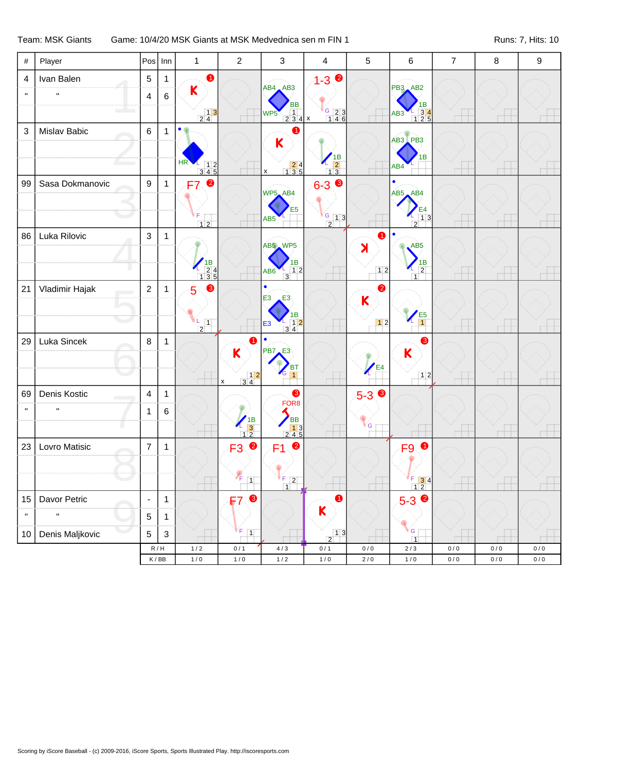## Team: MSK Giants Game: 10/4/20 MSK Giants at MSK Medvednica sen m FIN 1 Runs: 7, Hits: 10

| #               | Player          | Pos              | Inn          | $\mathbf{1}$                                               | $\sqrt{2}$                                                                                                                                                                                                                                                                                                                                                                                                          | 3                                                                                                                                                                                                                                                                                                                                                                                                              | 4                                                        | 5                       | 6                                                                                           | $\overline{7}$ | 8         | 9     |
|-----------------|-----------------|------------------|--------------|------------------------------------------------------------|---------------------------------------------------------------------------------------------------------------------------------------------------------------------------------------------------------------------------------------------------------------------------------------------------------------------------------------------------------------------------------------------------------------------|----------------------------------------------------------------------------------------------------------------------------------------------------------------------------------------------------------------------------------------------------------------------------------------------------------------------------------------------------------------------------------------------------------------|----------------------------------------------------------|-------------------------|---------------------------------------------------------------------------------------------|----------------|-----------|-------|
| 4               | Ivan Balen      | 5                | $\mathbf{1}$ | $\bullet$                                                  |                                                                                                                                                                                                                                                                                                                                                                                                                     |                                                                                                                                                                                                                                                                                                                                                                                                                | $\bullet$<br>$1 - 3$                                     |                         |                                                                                             |                |           |       |
| $\mathbf{u}$    | H.              | $\overline{4}$   | 6            | K                                                          |                                                                                                                                                                                                                                                                                                                                                                                                                     | AB4, AB3                                                                                                                                                                                                                                                                                                                                                                                                       |                                                          |                         | PB3 AB2                                                                                     |                |           |       |
|                 |                 |                  |              | $\begin{array}{c c} & 1 & 3 \\ \hline 2 & 4 & \end{array}$ |                                                                                                                                                                                                                                                                                                                                                                                                                     | <b>BB</b><br>$\overline{1}$<br>WP <sub>5</sub><br>234x                                                                                                                                                                                                                                                                                                                                                         | $\frac{6}{146}$                                          |                         | 1B<br>$\begin{array}{r} 1 \overline{)34} \\ \overline{)125} \end{array}$<br>AB <sub>3</sub> |                |           |       |
| 3               | Mislav Babic    | $\,6\,$          | $\mathbf{1}$ | $\bullet$                                                  |                                                                                                                                                                                                                                                                                                                                                                                                                     | A                                                                                                                                                                                                                                                                                                                                                                                                              |                                                          |                         |                                                                                             |                |           |       |
|                 |                 |                  |              |                                                            |                                                                                                                                                                                                                                                                                                                                                                                                                     | K                                                                                                                                                                                                                                                                                                                                                                                                              |                                                          |                         | AB3 PB3                                                                                     |                |           |       |
|                 |                 |                  |              | HR<br>$\begin{array}{c} 12 \\ 345 \end{array}$             |                                                                                                                                                                                                                                                                                                                                                                                                                     | $\begin{array}{@{}c@{\hspace{1em}}c@{\hspace{1em}}c@{\hspace{1em}}c@{\hspace{1em}}c@{\hspace{1em}}c@{\hspace{1em}}c@{\hspace{1em}}c@{\hspace{1em}}c@{\hspace{1em}}c@{\hspace{1em}}c@{\hspace{1em}}c@{\hspace{1em}}c@{\hspace{1em}}c@{\hspace{1em}}c@{\hspace{1em}}c@{\hspace{1em}}c@{\hspace{1em}}c@{\hspace{1em}}c@{\hspace{1em}}c@{\hspace{1em}}c@{\hspace{1em}}c@{\hspace{1em}}c@{\hspace{1em}}c@{\hspace{$ | $\begin{array}{c}\n\sqrt{18}\\ \boxed{13}\n\end{array}$  |                         | 1B<br>AB4                                                                                   |                |           |       |
| 99              | Sasa Dokmanovic | $\boldsymbol{9}$ | $\mathbf{1}$ | ❷<br>F7                                                    |                                                                                                                                                                                                                                                                                                                                                                                                                     | х                                                                                                                                                                                                                                                                                                                                                                                                              | ❸<br>$6 - 3$                                             |                         |                                                                                             |                |           |       |
|                 |                 |                  |              |                                                            |                                                                                                                                                                                                                                                                                                                                                                                                                     | WP5_AB4                                                                                                                                                                                                                                                                                                                                                                                                        |                                                          |                         | AB5 AB4                                                                                     |                |           |       |
|                 |                 |                  |              | F                                                          |                                                                                                                                                                                                                                                                                                                                                                                                                     | E5<br>AB <sub>5</sub>                                                                                                                                                                                                                                                                                                                                                                                          | $\frac{G}{1}$ 1 3                                        |                         | E4<br>13                                                                                    |                |           |       |
|                 | Luka Rilovic    | 3                |              | $12$                                                       |                                                                                                                                                                                                                                                                                                                                                                                                                     |                                                                                                                                                                                                                                                                                                                                                                                                                | $\overline{2}$                                           | 0                       | $\overline{2}$                                                                              |                |           |       |
| 86              |                 |                  | $\mathbf{1}$ |                                                            |                                                                                                                                                                                                                                                                                                                                                                                                                     | AB5 WP5                                                                                                                                                                                                                                                                                                                                                                                                        |                                                          | $\blacktriangleright$   | AB <sub>5</sub>                                                                             |                |           |       |
|                 |                 |                  |              | $18$<br>$134$<br>$135$                                     |                                                                                                                                                                                                                                                                                                                                                                                                                     | ΙB                                                                                                                                                                                                                                                                                                                                                                                                             |                                                          |                         | 1В                                                                                          |                |           |       |
|                 |                 |                  |              |                                                            |                                                                                                                                                                                                                                                                                                                                                                                                                     | 12<br>AB6<br>$\overline{3}$                                                                                                                                                                                                                                                                                                                                                                                    |                                                          | 12                      | $\overline{2}$<br>$\overline{1}$                                                            |                |           |       |
| 21              | Vladimir Hajak  | $\overline{2}$   | $\mathbf{1}$ | ❸<br>5                                                     |                                                                                                                                                                                                                                                                                                                                                                                                                     | $\bullet$<br>E <sub>3</sub><br>E3                                                                                                                                                                                                                                                                                                                                                                              |                                                          | 0<br>$\mathbf K$        |                                                                                             |                |           |       |
|                 |                 |                  |              |                                                            |                                                                                                                                                                                                                                                                                                                                                                                                                     | ΙB                                                                                                                                                                                                                                                                                                                                                                                                             |                                                          |                         | E <sub>5</sub>                                                                              |                |           |       |
|                 |                 |                  |              | $\boxed{1}$<br>$\boxed{2}$                                 |                                                                                                                                                                                                                                                                                                                                                                                                                     | $\frac{1}{34}$<br>E <sub>3</sub>                                                                                                                                                                                                                                                                                                                                                                               |                                                          | 12                      |                                                                                             |                |           |       |
| 29              | Luka Sincek     | 8                | $\mathbf{1}$ |                                                            | 1                                                                                                                                                                                                                                                                                                                                                                                                                   | $\bullet$<br>PB7<br>E3                                                                                                                                                                                                                                                                                                                                                                                         |                                                          |                         | 8                                                                                           |                |           |       |
|                 |                 |                  |              |                                                            | K                                                                                                                                                                                                                                                                                                                                                                                                                   | ВT                                                                                                                                                                                                                                                                                                                                                                                                             |                                                          | E <sub>4</sub>          | $\mathsf K$                                                                                 |                |           |       |
|                 |                 |                  |              |                                                            | $\begin{array}{@{}c@{\hspace{1em}}c@{\hspace{1em}}c@{\hspace{1em}}c@{\hspace{1em}}c@{\hspace{1em}}c@{\hspace{1em}}c@{\hspace{1em}}c@{\hspace{1em}}c@{\hspace{1em}}c@{\hspace{1em}}c@{\hspace{1em}}c@{\hspace{1em}}c@{\hspace{1em}}c@{\hspace{1em}}c@{\hspace{1em}}c@{\hspace{1em}}c@{\hspace{1em}}c@{\hspace{1em}}c@{\hspace{1em}}c@{\hspace{1em}}c@{\hspace{1em}}c@{\hspace{1em}}c@{\hspace{1em}}c@{\hspace{$<br>X | $\mathbf{1}$                                                                                                                                                                                                                                                                                                                                                                                                   |                                                          |                         | 12                                                                                          |                |           |       |
| 69              | Denis Kostic    | $\overline{4}$   | $\mathbf{1}$ |                                                            |                                                                                                                                                                                                                                                                                                                                                                                                                     | ❸                                                                                                                                                                                                                                                                                                                                                                                                              |                                                          | $5-3$ $\bullet$         |                                                                                             |                |           |       |
| $\mathbf{u}$    | $\mathbf H$     | 1                | 6            |                                                            |                                                                                                                                                                                                                                                                                                                                                                                                                     | FOR <sub>8</sub>                                                                                                                                                                                                                                                                                                                                                                                               |                                                          |                         |                                                                                             |                |           |       |
|                 |                 |                  |              |                                                            | $\begin{array}{c}\n1B \\ 3 \\ 12\n\end{array}$                                                                                                                                                                                                                                                                                                                                                                      | <b>BB</b><br>$\begin{array}{ c c }\n\hline\n1 & 3 \\ 2 & 4 & 5\n\end{array}$                                                                                                                                                                                                                                                                                                                                   |                                                          | $\overline{\mathbf{G}}$ |                                                                                             |                |           |       |
| 23              | Lovro Matisic   | $\overline{7}$   | $\mathbf{1}$ |                                                            | $\bullet$<br>F <sub>3</sub>                                                                                                                                                                                                                                                                                                                                                                                         | ❷<br>F1.                                                                                                                                                                                                                                                                                                                                                                                                       |                                                          |                         | $\bullet$<br>F9                                                                             |                |           |       |
|                 |                 |                  |              |                                                            |                                                                                                                                                                                                                                                                                                                                                                                                                     |                                                                                                                                                                                                                                                                                                                                                                                                                |                                                          |                         |                                                                                             |                |           |       |
|                 |                 |                  |              |                                                            | Æ<br>$\boxed{1}$                                                                                                                                                                                                                                                                                                                                                                                                    | F.<br>$\overline{2}$                                                                                                                                                                                                                                                                                                                                                                                           |                                                          |                         | $\begin{array}{c c}\n\hline\n1 & 3 & 4 \\ \hline\n1 & 2 & \n\end{array}$                    |                |           |       |
| 15              | Davor Petric    | $\blacksquare$   | $\mathbf{1}$ |                                                            | ❸<br>F7                                                                                                                                                                                                                                                                                                                                                                                                             |                                                                                                                                                                                                                                                                                                                                                                                                                | $\bullet$                                                |                         | $5 - 39$                                                                                    |                |           |       |
| $\mathbf{u}$    | $\mathbf{u}$    | $\sqrt{5}$       | $\mathbf{1}$ |                                                            |                                                                                                                                                                                                                                                                                                                                                                                                                     |                                                                                                                                                                                                                                                                                                                                                                                                                | $\mathsf K$                                              |                         |                                                                                             |                |           |       |
| 10 <sub>1</sub> | Denis Maljkovic | $\mathbf 5$      | $\sqrt{3}$   |                                                            | F<br>$\boxed{1}$                                                                                                                                                                                                                                                                                                                                                                                                    |                                                                                                                                                                                                                                                                                                                                                                                                                | $\begin{array}{c c} & 1 & 3 \\ \hline 2 & & \end{array}$ |                         | ΥG.                                                                                         |                |           |       |
|                 |                 | R/H              |              | 1/2                                                        | 0/1                                                                                                                                                                                                                                                                                                                                                                                                                 | $4/3$                                                                                                                                                                                                                                                                                                                                                                                                          | 0/1                                                      | 0/0                     | $\overline{1}$<br>$2/3$                                                                     | $0/0$          | $0\,/\,0$ | $0/0$ |
|                 |                 | K/BB             |              | $1/0$                                                      | $1/0$                                                                                                                                                                                                                                                                                                                                                                                                               | $1/2$                                                                                                                                                                                                                                                                                                                                                                                                          | $1/0$                                                    | $2/0$                   | $1/0$                                                                                       | $0/0$          | $0/0$     | $0/0$ |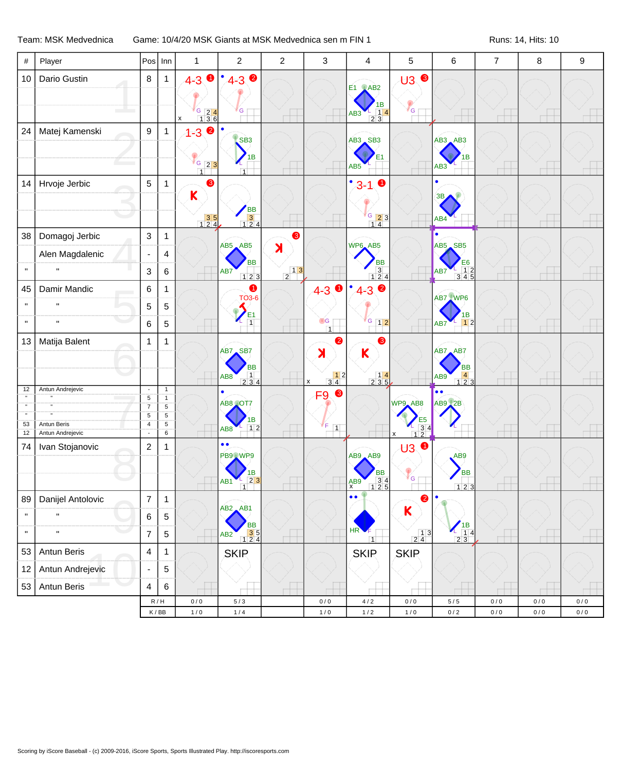## Team: MSK Medvednica Game: 10/4/20 MSK Giants at MSK Medvednica sen m FIN 1 Runs: 14, Hits: 10

| $\#$               | Player                          | Pos                               | Inn                           | $\mathbf{1}$                                                                            | $\overline{c}$                                                               | $\overline{c}$                                           | $\mathbf{3}$                                                        | $\overline{4}$                                                                    | 5                                                   | 6                                                                 | $\overline{7}$ | 8     | 9         |
|--------------------|---------------------------------|-----------------------------------|-------------------------------|-----------------------------------------------------------------------------------------|------------------------------------------------------------------------------|----------------------------------------------------------|---------------------------------------------------------------------|-----------------------------------------------------------------------------------|-----------------------------------------------------|-------------------------------------------------------------------|----------------|-------|-----------|
| 10                 | Dario Gustin                    | 8                                 | $\mathbf{1}$                  | $\bullet$<br>$4 - 3$                                                                    | $4 - 3$ $\bullet$<br>$\bullet$                                               |                                                          |                                                                     | <b>E1</b> AB2                                                                     | <b>U3 ®</b>                                         |                                                                   |                |       |           |
|                    |                                 |                                   |                               |                                                                                         |                                                                              |                                                          |                                                                     |                                                                                   |                                                     |                                                                   |                |       |           |
|                    |                                 |                                   |                               | $\begin{array}{ c c c }\n \hline\n 6 & 2 & 4 \\  \hline\n 1 & 3 & 6\n \end{array}$<br>x | G                                                                            |                                                          |                                                                     | 1B<br>$\begin{array}{c} 1 \ \hline 2 \ \hline 3 \end{array}$<br>AB3               | $\mathcal{N}_{\mathsf{G}}$                          |                                                                   |                |       |           |
| 24                 | Matej Kamenski                  | 9                                 | $\mathbf{1}$                  | $\bullet$<br>$1 - 3$                                                                    |                                                                              |                                                          |                                                                     |                                                                                   |                                                     |                                                                   |                |       |           |
|                    |                                 |                                   |                               |                                                                                         | SB <sub>3</sub>                                                              |                                                          |                                                                     | AB3 SB3                                                                           |                                                     | AB3 AB3                                                           |                |       |           |
|                    |                                 |                                   |                               | $\sqrt{6}$ 23<br>$\overline{1}$                                                         | 1В<br>$\overline{1}$                                                         |                                                          |                                                                     | AB5                                                                               |                                                     | 1B<br>AB <sub>3</sub>                                             |                |       |           |
| 14                 | Hrvoje Jerbic                   | 5                                 | $\mathbf{1}$                  | ❸                                                                                       |                                                                              |                                                          |                                                                     | ٠<br>➊<br>$3 - 1$                                                                 |                                                     | $\bullet$                                                         |                |       |           |
|                    |                                 |                                   |                               | $\mathsf K$                                                                             |                                                                              |                                                          |                                                                     |                                                                                   |                                                     | 3B                                                                |                |       |           |
|                    |                                 |                                   |                               | $\begin{array}{ c c }\n \hline\n 3 & 5 \\  \hline\n 1 & 2 & 4\n \end{array}$            | BB<br>3<br>124                                                               |                                                          |                                                                     | $\begin{array}{ c c }\n \hline\n 6 & 2 & 3 \\  \hline\n 1 & 4 & \n\end{array}$    |                                                     | AB4                                                               |                |       |           |
| 38                 | Domagoj Jerbic                  | 3                                 | 1                             |                                                                                         |                                                                              | ❸                                                        |                                                                     |                                                                                   |                                                     |                                                                   |                |       |           |
|                    | Alen Magdalenic                 | $\blacksquare$                    | 4                             |                                                                                         | AB5 AB5                                                                      | $\blacktriangleright$                                    |                                                                     | WP6_AB5                                                                           |                                                     | AB5 SB5                                                           |                |       |           |
| $\mathbf H$        |                                 | 3                                 | 6                             |                                                                                         | <b>BB</b><br>AB7<br>123                                                      | $\begin{array}{c c} & 1 & 3 \\ \hline 2 & & \end{array}$ |                                                                     | <b>BB</b><br>$\begin{array}{c c}\n3 \\ 124\n\end{array}$                          |                                                     | E6<br>$\begin{array}{cccc} 1 & 2 \\ 3 & 4 & 5 \end{array}$<br>AB7 |                |       |           |
| 45                 | Damir Mandic                    | 6                                 | 1                             |                                                                                         | $\bullet$                                                                    |                                                          | $\bullet$<br>$4 - 3$                                                | $\bullet$<br>٠<br>$4 - 3$                                                         |                                                     | AB7 WP6                                                           |                |       |           |
| $\pmb{\mathsf{H}}$ |                                 | 5                                 | 5                             |                                                                                         | <b>TO3-6</b>                                                                 |                                                          |                                                                     |                                                                                   |                                                     |                                                                   |                |       |           |
| $\mathbf H$        | $\mathbf{H}$                    | 6                                 | $\,$ 5 $\,$                   |                                                                                         | E <sub>1</sub>                                                               |                                                          | $\bullet$ G<br>$\overline{1}$                                       | G<br>12                                                                           |                                                     | IB<br>12<br>AB7<br>Ъ,                                             |                |       |           |
| 13                 | Matija Balent                   | 1                                 | 1                             |                                                                                         |                                                                              |                                                          | 0                                                                   | ❸                                                                                 |                                                     |                                                                   |                |       |           |
|                    |                                 |                                   |                               |                                                                                         | AB7 SB7                                                                      |                                                          | $\lambda$                                                           | K                                                                                 |                                                     | AB7 AB7                                                           |                |       |           |
|                    |                                 |                                   |                               |                                                                                         | <b>BB</b><br>$\begin{array}{c} 1 \\ 2 \ 3 \ 4 \end{array}$<br>AB8            |                                                          | $\begin{array}{ c c }\n\hline\n1 & 2 \\ \hline\n3 & 4\n\end{array}$ | $\begin{array}{c c} & 14 \\ 2 & 35 \end{array}$                                   |                                                     | <b>BB</b><br>$\begin{array}{c} 4 \\ 1 \ 2 \ 3 \end{array}$<br>AB9 |                |       |           |
| 12                 | Antun Andrejevic                | $\overline{\phantom{a}}$          | $\mathbf{1}$                  |                                                                                         | $\bullet$                                                                    |                                                          | $\pmb{\mathsf{x}}$<br>❸<br>F <sub>9</sub>                           |                                                                                   |                                                     | $\bullet \bullet$                                                 |                |       |           |
|                    |                                 | $\sqrt{5}$<br>$\overline{7}$      | $\mathbf{1}$<br>$\sqrt{5}$    |                                                                                         | AB8 OT7                                                                      |                                                          |                                                                     |                                                                                   | WP9_AB8                                             | AB9 2B                                                            |                |       |           |
|                    |                                 | $\sqrt{5}$                        | $\sqrt{5}$                    |                                                                                         | 1B                                                                           |                                                          |                                                                     |                                                                                   | E5                                                  |                                                                   |                |       |           |
| 53<br>12           | Antun Beris<br>Antun Andrejevic | $\overline{\mathbf{4}}$<br>$\sim$ | $\sqrt{5}$<br>$6\overline{6}$ |                                                                                         | 12<br>AB8                                                                    |                                                          | ΙF.<br>$\boxed{1}$                                                  |                                                                                   | $\frac{1}{12}$                                      |                                                                   |                |       |           |
| 74                 | Ivan Stojanovic                 | $\overline{c}$                    | 1                             |                                                                                         | $\bullet$<br>$\bullet$                                                       |                                                          |                                                                     |                                                                                   | $\bullet$<br>U3                                     |                                                                   |                |       |           |
|                    |                                 |                                   |                               |                                                                                         | PB9 WP9                                                                      |                                                          |                                                                     | $AB9$ $AB9$                                                                       |                                                     | AB9                                                               |                |       |           |
|                    |                                 |                                   |                               |                                                                                         | ΙB<br>23                                                                     |                                                          |                                                                     | BB                                                                                | G                                                   | <b>BB</b>                                                         |                |       |           |
|                    |                                 |                                   |                               |                                                                                         | AB <sub>1</sub><br>$\overline{1}$                                            |                                                          |                                                                     | $\begin{array}{c} 3 & 4 \\ 2 & 5 \end{array}$<br>A <sub>X</sub><br>$\overline{1}$ |                                                     | 123                                                               |                |       |           |
| 89                 | Danijel Antolovic               | $\overline{7}$                    | 1                             |                                                                                         | $AB2$ $AB1$                                                                  |                                                          |                                                                     | $\bullet$                                                                         | 2                                                   |                                                                   |                |       |           |
| $\mathbf H$        | $\pmb{\mathsf{H}}$              | 6                                 | $\,$ 5 $\,$                   |                                                                                         | BB                                                                           |                                                          |                                                                     |                                                                                   | $\mathsf K$                                         |                                                                   |                |       |           |
| $\mathbf H$        | $\mathbf{u}$                    | $\overline{7}$                    | 5                             |                                                                                         | $\begin{array}{ c c c }\n \hline\n 3 & 5 \\  1 & 2 & 4\n \end{array}$<br>AB2 |                                                          |                                                                     | HR<br>$\overline{1}$                                                              | $\begin{array}{c c} & 1 & 3 \\ 2 & 4 & \end{array}$ | $\frac{1B}{14}$<br>$2\overline{3}$                                |                |       |           |
| 53                 | Antun Beris                     | 4                                 | $\mathbf{1}$                  |                                                                                         | <b>SKIP</b>                                                                  |                                                          |                                                                     | <b>SKIR</b>                                                                       | <b>SKIP</b>                                         |                                                                   |                |       |           |
| 12                 | Antun Andrejevic                |                                   | 5                             |                                                                                         |                                                                              |                                                          |                                                                     |                                                                                   |                                                     |                                                                   |                |       |           |
| 53                 | Antun Beris                     | 4                                 | $\,6$                         |                                                                                         |                                                                              |                                                          |                                                                     |                                                                                   |                                                     |                                                                   |                |       |           |
|                    |                                 |                                   | R/H                           | $0/0$                                                                                   | $5/3$                                                                        |                                                          | $0/0$                                                               | $4/2$                                                                             | $0/0$                                               | $5/5$                                                             | 0/0            | 0/0   | $0/0$     |
|                    |                                 |                                   | $\mathsf K\,/\,\mathsf{BB}$   | $1/0$                                                                                   | $1/4$                                                                        |                                                          | $1/0$                                                               | $1/2$                                                                             | $1/0$                                               | $0\,/\,2$                                                         | $0\,/\,0$      | $0/0$ | $0\,/\,0$ |